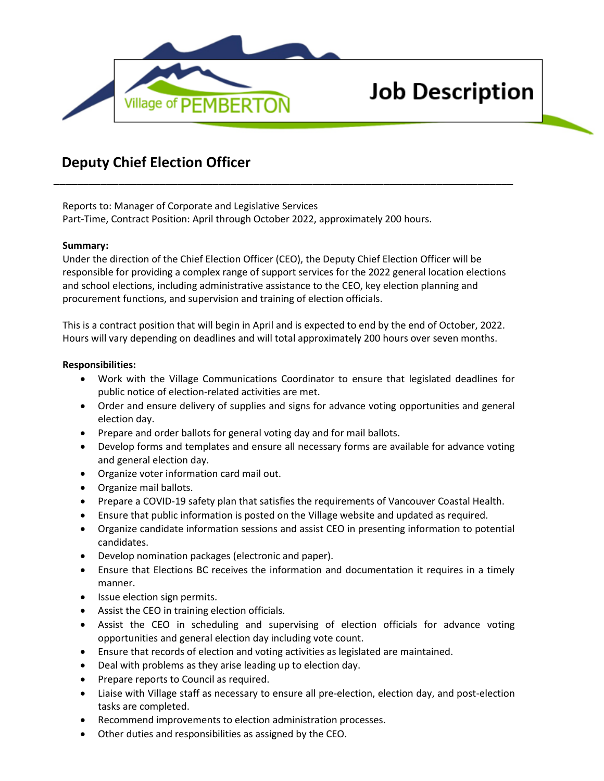

# **Job Description**

## **Deputy Chief Election Officer**

Reports to: Manager of Corporate and Legislative Services Part-Time, Contract Position: April through October 2022, approximately 200 hours.

#### **Summary:**

Under the direction of the Chief Election Officer (CEO), the Deputy Chief Election Officer will be responsible for providing a complex range of support services for the 2022 general location elections and school elections, including administrative assistance to the CEO, key election planning and procurement functions, and supervision and training of election officials.

**\_\_\_\_\_\_\_\_\_\_\_\_\_\_\_\_\_\_\_\_\_\_\_\_\_\_\_\_\_\_\_\_\_\_\_\_\_\_\_\_\_\_\_\_\_\_\_\_\_\_\_\_\_\_\_\_\_\_\_\_\_\_\_\_\_\_\_\_\_\_\_\_\_\_\_\_\_\_**

This is a contract position that will begin in April and is expected to end by the end of October, 2022. Hours will vary depending on deadlines and will total approximately 200 hours over seven months.

#### **Responsibilities:**

- Work with the Village Communications Coordinator to ensure that legislated deadlines for public notice of election-related activities are met.
- Order and ensure delivery of supplies and signs for advance voting opportunities and general election day.
- Prepare and order ballots for general voting day and for mail ballots.
- Develop forms and templates and ensure all necessary forms are available for advance voting and general election day.
- Organize voter information card mail out.
- Organize mail ballots.
- Prepare a COVID-19 safety plan that satisfies the requirements of Vancouver Coastal Health.
- Ensure that public information is posted on the Village website and updated as required.
- Organize candidate information sessions and assist CEO in presenting information to potential candidates.
- Develop nomination packages (electronic and paper).
- Ensure that Elections BC receives the information and documentation it requires in a timely manner.
- Issue election sign permits.
- Assist the CEO in training election officials.
- Assist the CEO in scheduling and supervising of election officials for advance voting opportunities and general election day including vote count.
- Ensure that records of election and voting activities as legislated are maintained.
- Deal with problems as they arise leading up to election day.
- Prepare reports to Council as required.
- Liaise with Village staff as necessary to ensure all pre-election, election day, and post-election tasks are completed.
- Recommend improvements to election administration processes.
- Other duties and responsibilities as assigned by the CEO.